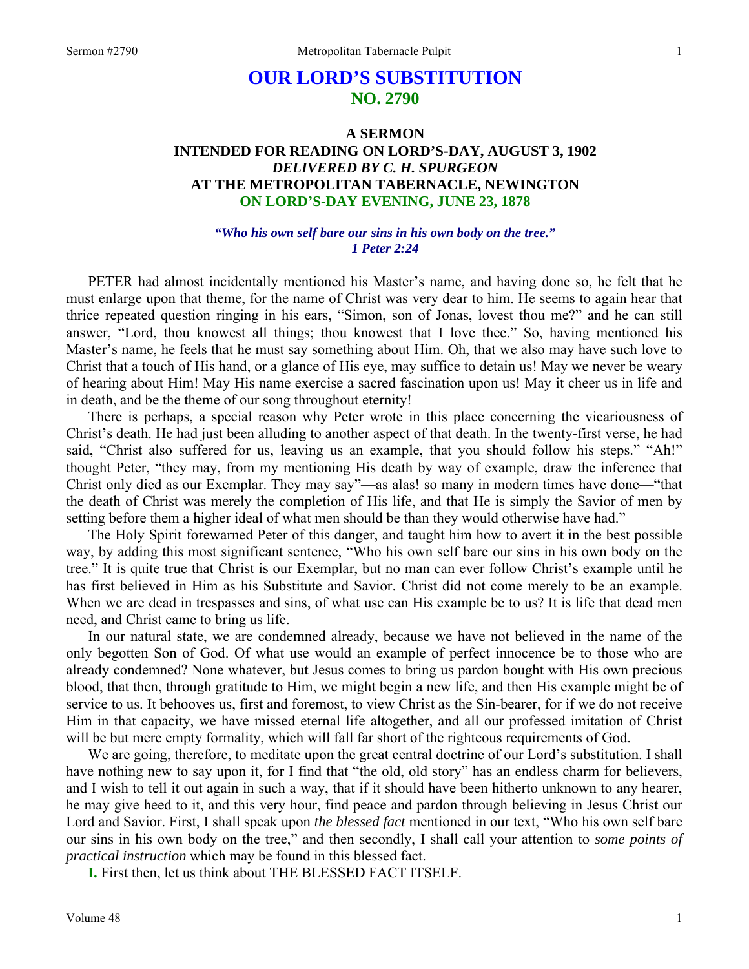# **OUR LORD'S SUBSTITUTION NO. 2790**

# **A SERMON INTENDED FOR READING ON LORD'S-DAY, AUGUST 3, 1902**  *DELIVERED BY C. H. SPURGEON*  **AT THE METROPOLITAN TABERNACLE, NEWINGTON ON LORD'S-DAY EVENING, JUNE 23, 1878**

### *"Who his own self bare our sins in his own body on the tree." 1 Peter 2:24*

PETER had almost incidentally mentioned his Master's name, and having done so, he felt that he must enlarge upon that theme, for the name of Christ was very dear to him. He seems to again hear that thrice repeated question ringing in his ears, "Simon, son of Jonas, lovest thou me?" and he can still answer, "Lord, thou knowest all things; thou knowest that I love thee." So, having mentioned his Master's name, he feels that he must say something about Him. Oh, that we also may have such love to Christ that a touch of His hand, or a glance of His eye, may suffice to detain us! May we never be weary of hearing about Him! May His name exercise a sacred fascination upon us! May it cheer us in life and in death, and be the theme of our song throughout eternity!

There is perhaps, a special reason why Peter wrote in this place concerning the vicariousness of Christ's death. He had just been alluding to another aspect of that death. In the twenty-first verse, he had said, "Christ also suffered for us, leaving us an example, that you should follow his steps." "Ah!" thought Peter, "they may, from my mentioning His death by way of example, draw the inference that Christ only died as our Exemplar. They may say"—as alas! so many in modern times have done—"that the death of Christ was merely the completion of His life, and that He is simply the Savior of men by setting before them a higher ideal of what men should be than they would otherwise have had."

The Holy Spirit forewarned Peter of this danger, and taught him how to avert it in the best possible way, by adding this most significant sentence, "Who his own self bare our sins in his own body on the tree." It is quite true that Christ is our Exemplar, but no man can ever follow Christ's example until he has first believed in Him as his Substitute and Savior. Christ did not come merely to be an example. When we are dead in trespasses and sins, of what use can His example be to us? It is life that dead men need, and Christ came to bring us life.

In our natural state, we are condemned already, because we have not believed in the name of the only begotten Son of God. Of what use would an example of perfect innocence be to those who are already condemned? None whatever, but Jesus comes to bring us pardon bought with His own precious blood, that then, through gratitude to Him, we might begin a new life, and then His example might be of service to us. It behooves us, first and foremost, to view Christ as the Sin-bearer, for if we do not receive Him in that capacity, we have missed eternal life altogether, and all our professed imitation of Christ will be but mere empty formality, which will fall far short of the righteous requirements of God.

We are going, therefore, to meditate upon the great central doctrine of our Lord's substitution. I shall have nothing new to say upon it, for I find that "the old, old story" has an endless charm for believers, and I wish to tell it out again in such a way, that if it should have been hitherto unknown to any hearer, he may give heed to it, and this very hour, find peace and pardon through believing in Jesus Christ our Lord and Savior. First, I shall speak upon *the blessed fact* mentioned in our text, "Who his own self bare our sins in his own body on the tree," and then secondly, I shall call your attention to *some points of practical instruction* which may be found in this blessed fact.

**I.** First then, let us think about THE BLESSED FACT ITSELF.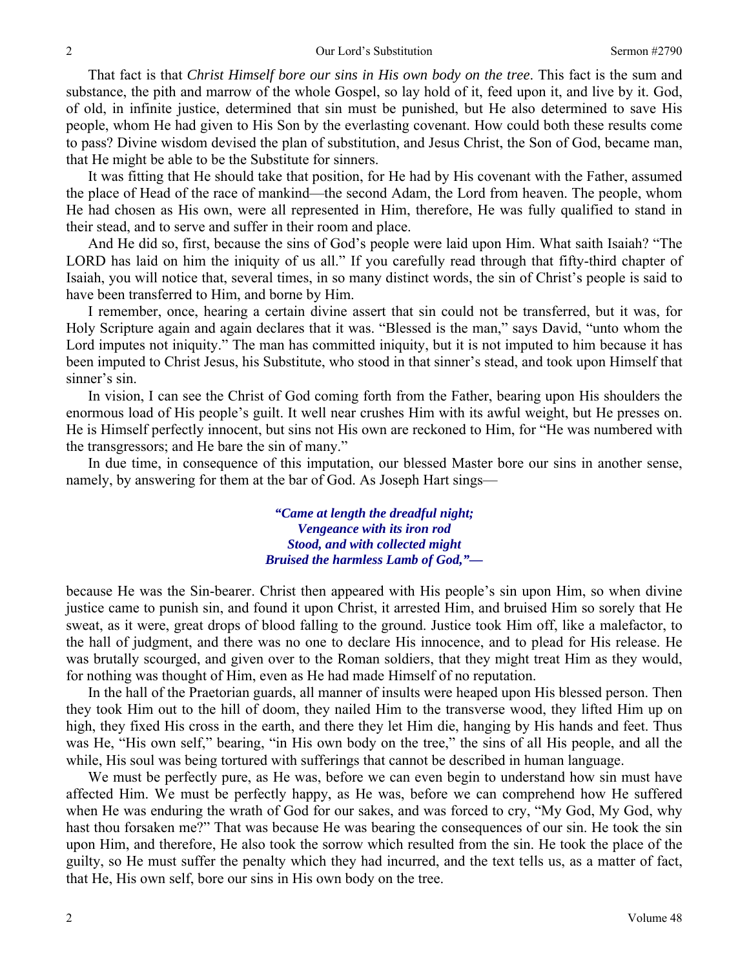That fact is that *Christ Himself bore our sins in His own body on the tree*. This fact is the sum and substance, the pith and marrow of the whole Gospel, so lay hold of it, feed upon it, and live by it. God, of old, in infinite justice, determined that sin must be punished, but He also determined to save His people, whom He had given to His Son by the everlasting covenant. How could both these results come to pass? Divine wisdom devised the plan of substitution, and Jesus Christ, the Son of God, became man, that He might be able to be the Substitute for sinners.

It was fitting that He should take that position, for He had by His covenant with the Father, assumed the place of Head of the race of mankind—the second Adam, the Lord from heaven. The people, whom He had chosen as His own, were all represented in Him, therefore, He was fully qualified to stand in their stead, and to serve and suffer in their room and place.

And He did so, first, because the sins of God's people were laid upon Him. What saith Isaiah? "The LORD has laid on him the iniquity of us all." If you carefully read through that fifty-third chapter of Isaiah, you will notice that, several times, in so many distinct words, the sin of Christ's people is said to have been transferred to Him, and borne by Him.

I remember, once, hearing a certain divine assert that sin could not be transferred, but it was, for Holy Scripture again and again declares that it was. "Blessed is the man," says David, "unto whom the Lord imputes not iniquity." The man has committed iniquity, but it is not imputed to him because it has been imputed to Christ Jesus, his Substitute, who stood in that sinner's stead, and took upon Himself that sinner's sin.

In vision, I can see the Christ of God coming forth from the Father, bearing upon His shoulders the enormous load of His people's guilt. It well near crushes Him with its awful weight, but He presses on. He is Himself perfectly innocent, but sins not His own are reckoned to Him, for "He was numbered with the transgressors; and He bare the sin of many."

In due time, in consequence of this imputation, our blessed Master bore our sins in another sense, namely, by answering for them at the bar of God. As Joseph Hart sings—

> *"Came at length the dreadful night; Vengeance with its iron rod Stood, and with collected might Bruised the harmless Lamb of God,"—*

because He was the Sin-bearer. Christ then appeared with His people's sin upon Him, so when divine justice came to punish sin, and found it upon Christ, it arrested Him, and bruised Him so sorely that He sweat, as it were, great drops of blood falling to the ground. Justice took Him off, like a malefactor, to the hall of judgment, and there was no one to declare His innocence, and to plead for His release. He was brutally scourged, and given over to the Roman soldiers, that they might treat Him as they would, for nothing was thought of Him, even as He had made Himself of no reputation.

In the hall of the Praetorian guards, all manner of insults were heaped upon His blessed person. Then they took Him out to the hill of doom, they nailed Him to the transverse wood, they lifted Him up on high, they fixed His cross in the earth, and there they let Him die, hanging by His hands and feet. Thus was He, "His own self," bearing, "in His own body on the tree," the sins of all His people, and all the while, His soul was being tortured with sufferings that cannot be described in human language.

We must be perfectly pure, as He was, before we can even begin to understand how sin must have affected Him. We must be perfectly happy, as He was, before we can comprehend how He suffered when He was enduring the wrath of God for our sakes, and was forced to cry, "My God, My God, why hast thou forsaken me?" That was because He was bearing the consequences of our sin. He took the sin upon Him, and therefore, He also took the sorrow which resulted from the sin. He took the place of the guilty, so He must suffer the penalty which they had incurred, and the text tells us, as a matter of fact, that He, His own self, bore our sins in His own body on the tree.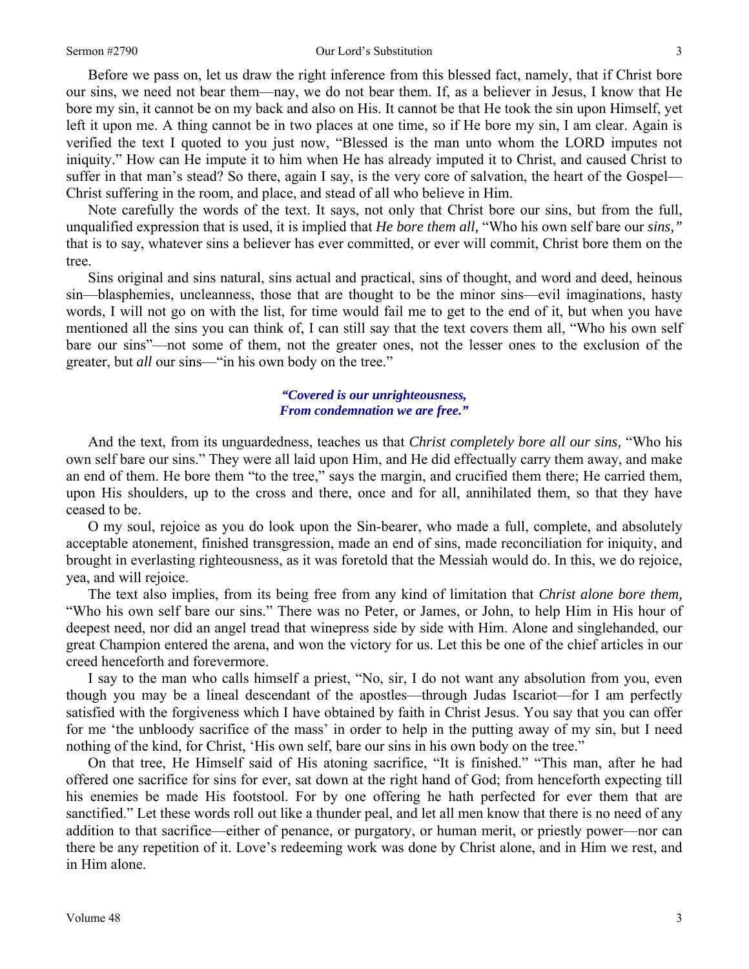Before we pass on, let us draw the right inference from this blessed fact, namely, that if Christ bore our sins, we need not bear them—nay, we do not bear them. If, as a believer in Jesus, I know that He bore my sin, it cannot be on my back and also on His. It cannot be that He took the sin upon Himself, yet left it upon me. A thing cannot be in two places at one time, so if He bore my sin, I am clear. Again is verified the text I quoted to you just now, "Blessed is the man unto whom the LORD imputes not iniquity." How can He impute it to him when He has already imputed it to Christ, and caused Christ to suffer in that man's stead? So there, again I say, is the very core of salvation, the heart of the Gospel— Christ suffering in the room, and place, and stead of all who believe in Him.

Note carefully the words of the text. It says, not only that Christ bore our sins, but from the full, unqualified expression that is used, it is implied that *He bore them all,* "Who his own self bare our *sins,"* that is to say, whatever sins a believer has ever committed, or ever will commit, Christ bore them on the tree.

Sins original and sins natural, sins actual and practical, sins of thought, and word and deed, heinous sin—blasphemies, uncleanness, those that are thought to be the minor sins—evil imaginations, hasty words, I will not go on with the list, for time would fail me to get to the end of it, but when you have mentioned all the sins you can think of, I can still say that the text covers them all, "Who his own self bare our sins"—not some of them, not the greater ones, not the lesser ones to the exclusion of the greater, but *all* our sins—"in his own body on the tree."

## *"Covered is our unrighteousness, From condemnation we are free."*

And the text, from its unguardedness, teaches us that *Christ completely bore all our sins,* "Who his own self bare our sins." They were all laid upon Him, and He did effectually carry them away, and make an end of them. He bore them "to the tree," says the margin, and crucified them there; He carried them, upon His shoulders, up to the cross and there, once and for all, annihilated them, so that they have ceased to be.

O my soul, rejoice as you do look upon the Sin-bearer, who made a full, complete, and absolutely acceptable atonement, finished transgression, made an end of sins, made reconciliation for iniquity, and brought in everlasting righteousness, as it was foretold that the Messiah would do. In this, we do rejoice, yea, and will rejoice.

The text also implies, from its being free from any kind of limitation that *Christ alone bore them,*  "Who his own self bare our sins." There was no Peter, or James, or John, to help Him in His hour of deepest need, nor did an angel tread that winepress side by side with Him. Alone and singlehanded, our great Champion entered the arena, and won the victory for us. Let this be one of the chief articles in our creed henceforth and forevermore.

I say to the man who calls himself a priest, "No, sir, I do not want any absolution from you, even though you may be a lineal descendant of the apostles—through Judas Iscariot—for I am perfectly satisfied with the forgiveness which I have obtained by faith in Christ Jesus. You say that you can offer for me 'the unbloody sacrifice of the mass' in order to help in the putting away of my sin, but I need nothing of the kind, for Christ, 'His own self, bare our sins in his own body on the tree."

On that tree, He Himself said of His atoning sacrifice, "It is finished." "This man, after he had offered one sacrifice for sins for ever, sat down at the right hand of God; from henceforth expecting till his enemies be made His footstool. For by one offering he hath perfected for ever them that are sanctified." Let these words roll out like a thunder peal, and let all men know that there is no need of any addition to that sacrifice—either of penance, or purgatory, or human merit, or priestly power—nor can there be any repetition of it. Love's redeeming work was done by Christ alone, and in Him we rest, and in Him alone.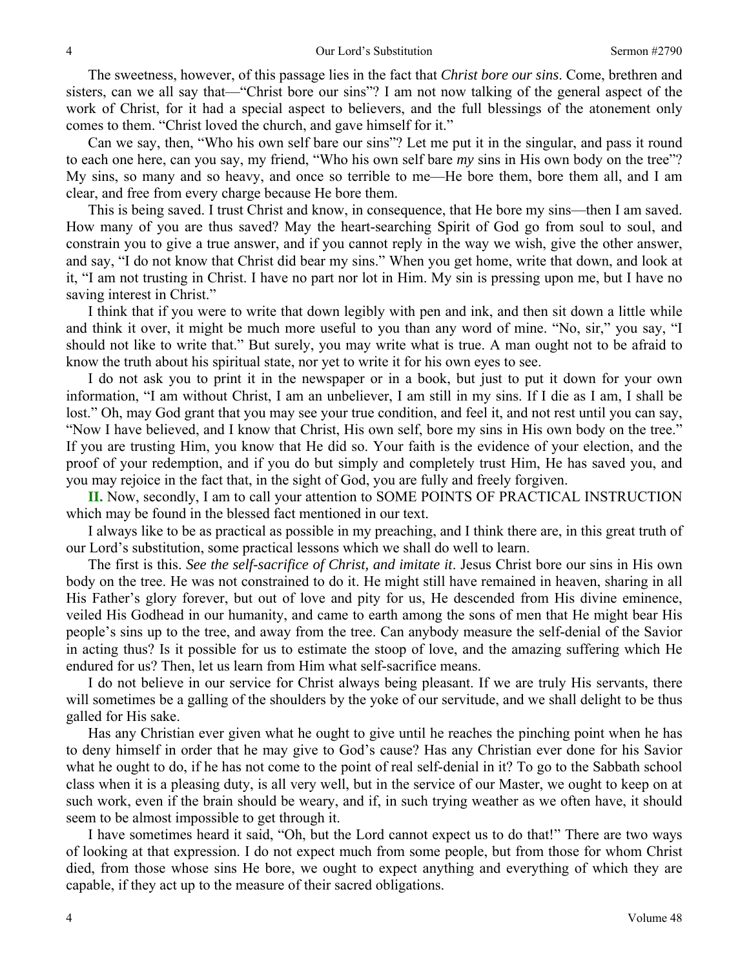The sweetness, however, of this passage lies in the fact that *Christ bore our sins*. Come, brethren and sisters, can we all say that—"Christ bore our sins"? I am not now talking of the general aspect of the work of Christ, for it had a special aspect to believers, and the full blessings of the atonement only comes to them. "Christ loved the church, and gave himself for it."

Can we say, then, "Who his own self bare our sins"? Let me put it in the singular, and pass it round to each one here, can you say, my friend, "Who his own self bare *my* sins in His own body on the tree"? My sins, so many and so heavy, and once so terrible to me—He bore them, bore them all, and I am clear, and free from every charge because He bore them.

This is being saved. I trust Christ and know, in consequence, that He bore my sins—then I am saved. How many of you are thus saved? May the heart-searching Spirit of God go from soul to soul, and constrain you to give a true answer, and if you cannot reply in the way we wish, give the other answer, and say, "I do not know that Christ did bear my sins." When you get home, write that down, and look at it, "I am not trusting in Christ. I have no part nor lot in Him. My sin is pressing upon me, but I have no saving interest in Christ."

I think that if you were to write that down legibly with pen and ink, and then sit down a little while and think it over, it might be much more useful to you than any word of mine. "No, sir," you say, "I should not like to write that." But surely, you may write what is true. A man ought not to be afraid to know the truth about his spiritual state, nor yet to write it for his own eyes to see.

I do not ask you to print it in the newspaper or in a book, but just to put it down for your own information, "I am without Christ, I am an unbeliever, I am still in my sins. If I die as I am, I shall be lost." Oh, may God grant that you may see your true condition, and feel it, and not rest until you can say, "Now I have believed, and I know that Christ, His own self, bore my sins in His own body on the tree." If you are trusting Him, you know that He did so. Your faith is the evidence of your election, and the proof of your redemption, and if you do but simply and completely trust Him, He has saved you, and you may rejoice in the fact that, in the sight of God, you are fully and freely forgiven.

**II.** Now, secondly, I am to call your attention to SOME POINTS OF PRACTICAL INSTRUCTION which may be found in the blessed fact mentioned in our text.

I always like to be as practical as possible in my preaching, and I think there are, in this great truth of our Lord's substitution, some practical lessons which we shall do well to learn.

The first is this. *See the self-sacrifice of Christ, and imitate it*. Jesus Christ bore our sins in His own body on the tree. He was not constrained to do it. He might still have remained in heaven, sharing in all His Father's glory forever, but out of love and pity for us, He descended from His divine eminence, veiled His Godhead in our humanity, and came to earth among the sons of men that He might bear His people's sins up to the tree, and away from the tree. Can anybody measure the self-denial of the Savior in acting thus? Is it possible for us to estimate the stoop of love, and the amazing suffering which He endured for us? Then, let us learn from Him what self-sacrifice means.

I do not believe in our service for Christ always being pleasant. If we are truly His servants, there will sometimes be a galling of the shoulders by the yoke of our servitude, and we shall delight to be thus galled for His sake.

Has any Christian ever given what he ought to give until he reaches the pinching point when he has to deny himself in order that he may give to God's cause? Has any Christian ever done for his Savior what he ought to do, if he has not come to the point of real self-denial in it? To go to the Sabbath school class when it is a pleasing duty, is all very well, but in the service of our Master, we ought to keep on at such work, even if the brain should be weary, and if, in such trying weather as we often have, it should seem to be almost impossible to get through it.

I have sometimes heard it said, "Oh, but the Lord cannot expect us to do that!" There are two ways of looking at that expression. I do not expect much from some people, but from those for whom Christ died, from those whose sins He bore, we ought to expect anything and everything of which they are capable, if they act up to the measure of their sacred obligations.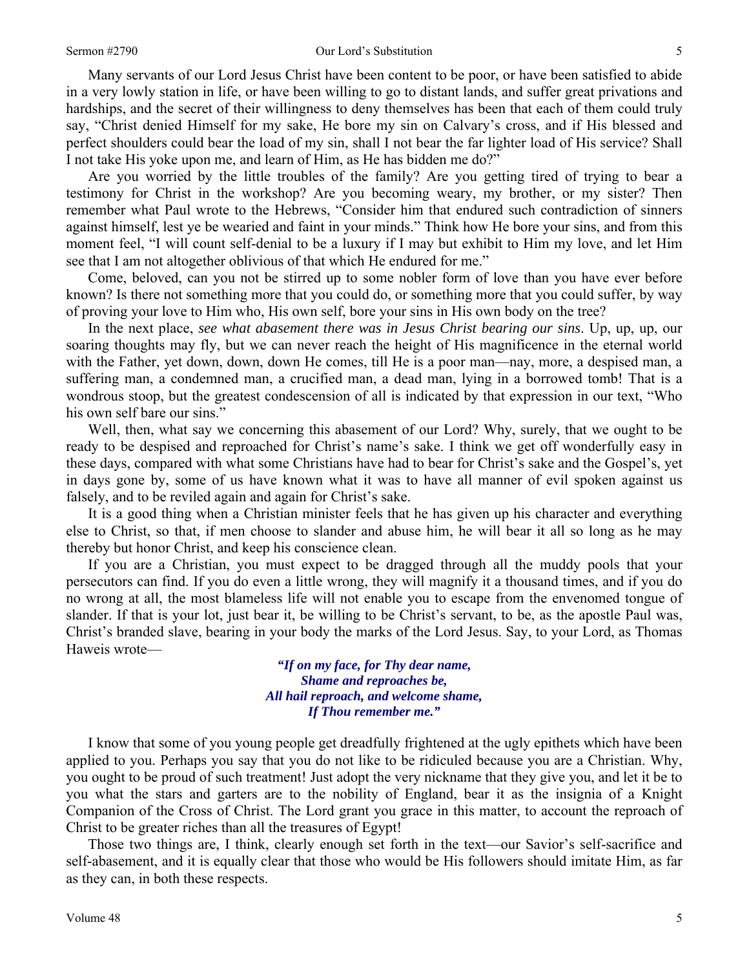#### Sermon #2790 **Sermon #2790** Our Lord's Substitution 5

Many servants of our Lord Jesus Christ have been content to be poor, or have been satisfied to abide in a very lowly station in life, or have been willing to go to distant lands, and suffer great privations and hardships, and the secret of their willingness to deny themselves has been that each of them could truly say, "Christ denied Himself for my sake, He bore my sin on Calvary's cross, and if His blessed and perfect shoulders could bear the load of my sin, shall I not bear the far lighter load of His service? Shall I not take His yoke upon me, and learn of Him, as He has bidden me do?"

Are you worried by the little troubles of the family? Are you getting tired of trying to bear a testimony for Christ in the workshop? Are you becoming weary, my brother, or my sister? Then remember what Paul wrote to the Hebrews, "Consider him that endured such contradiction of sinners against himself, lest ye be wearied and faint in your minds." Think how He bore your sins, and from this moment feel, "I will count self-denial to be a luxury if I may but exhibit to Him my love, and let Him see that I am not altogether oblivious of that which He endured for me."

Come, beloved, can you not be stirred up to some nobler form of love than you have ever before known? Is there not something more that you could do, or something more that you could suffer, by way of proving your love to Him who, His own self, bore your sins in His own body on the tree?

In the next place, *see what abasement there was in Jesus Christ bearing our sins*. Up, up, up, our soaring thoughts may fly, but we can never reach the height of His magnificence in the eternal world with the Father, yet down, down, down He comes, till He is a poor man—nay, more, a despised man, a suffering man, a condemned man, a crucified man, a dead man, lying in a borrowed tomb! That is a wondrous stoop, but the greatest condescension of all is indicated by that expression in our text, "Who his own self bare our sins."

Well, then, what say we concerning this abasement of our Lord? Why, surely, that we ought to be ready to be despised and reproached for Christ's name's sake. I think we get off wonderfully easy in these days, compared with what some Christians have had to bear for Christ's sake and the Gospel's, yet in days gone by, some of us have known what it was to have all manner of evil spoken against us falsely, and to be reviled again and again for Christ's sake.

It is a good thing when a Christian minister feels that he has given up his character and everything else to Christ, so that, if men choose to slander and abuse him, he will bear it all so long as he may thereby but honor Christ, and keep his conscience clean.

If you are a Christian, you must expect to be dragged through all the muddy pools that your persecutors can find. If you do even a little wrong, they will magnify it a thousand times, and if you do no wrong at all, the most blameless life will not enable you to escape from the envenomed tongue of slander. If that is your lot, just bear it, be willing to be Christ's servant, to be, as the apostle Paul was, Christ's branded slave, bearing in your body the marks of the Lord Jesus. Say, to your Lord, as Thomas Haweis wrote—

> *"If on my face, for Thy dear name, Shame and reproaches be, All hail reproach, and welcome shame, If Thou remember me."*

I know that some of you young people get dreadfully frightened at the ugly epithets which have been applied to you. Perhaps you say that you do not like to be ridiculed because you are a Christian. Why, you ought to be proud of such treatment! Just adopt the very nickname that they give you, and let it be to you what the stars and garters are to the nobility of England, bear it as the insignia of a Knight Companion of the Cross of Christ. The Lord grant you grace in this matter, to account the reproach of Christ to be greater riches than all the treasures of Egypt!

Those two things are, I think, clearly enough set forth in the text—our Savior's self-sacrifice and self-abasement, and it is equally clear that those who would be His followers should imitate Him, as far as they can, in both these respects.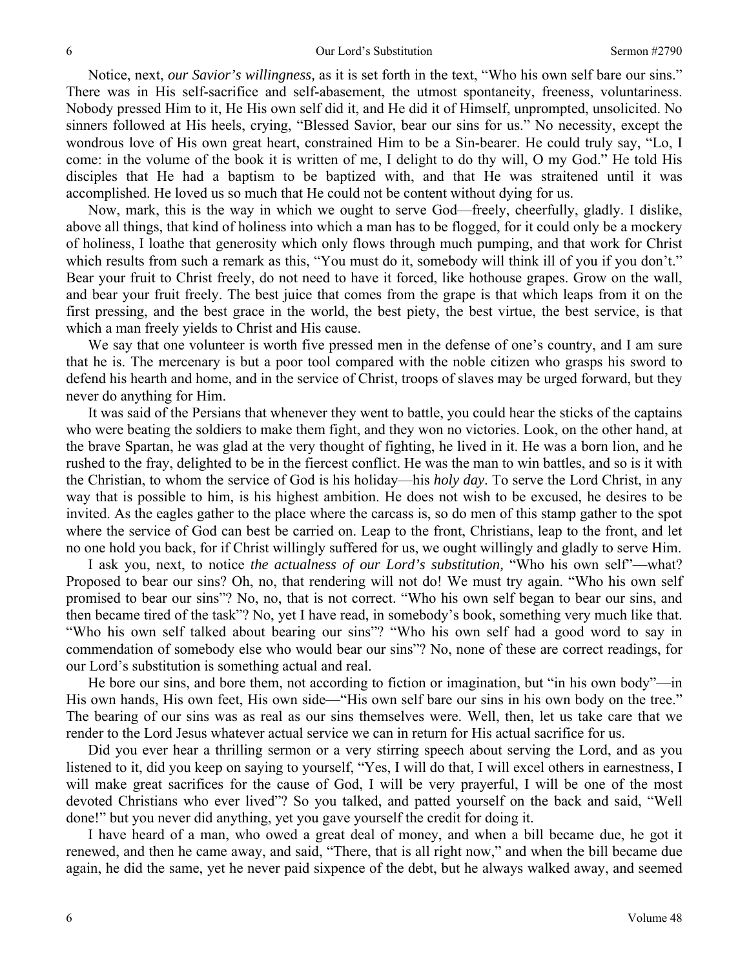Notice, next, *our Savior's willingness,* as it is set forth in the text, "Who his own self bare our sins." There was in His self-sacrifice and self-abasement, the utmost spontaneity, freeness, voluntariness. Nobody pressed Him to it, He His own self did it, and He did it of Himself, unprompted, unsolicited. No sinners followed at His heels, crying, "Blessed Savior, bear our sins for us." No necessity, except the wondrous love of His own great heart, constrained Him to be a Sin-bearer. He could truly say, "Lo, I come: in the volume of the book it is written of me, I delight to do thy will, O my God." He told His disciples that He had a baptism to be baptized with, and that He was straitened until it was accomplished. He loved us so much that He could not be content without dying for us.

Now, mark, this is the way in which we ought to serve God—freely, cheerfully, gladly. I dislike, above all things, that kind of holiness into which a man has to be flogged, for it could only be a mockery of holiness, I loathe that generosity which only flows through much pumping, and that work for Christ which results from such a remark as this, "You must do it, somebody will think ill of you if you don't." Bear your fruit to Christ freely, do not need to have it forced, like hothouse grapes. Grow on the wall, and bear your fruit freely. The best juice that comes from the grape is that which leaps from it on the first pressing, and the best grace in the world, the best piety, the best virtue, the best service, is that which a man freely yields to Christ and His cause.

We say that one volunteer is worth five pressed men in the defense of one's country, and I am sure that he is. The mercenary is but a poor tool compared with the noble citizen who grasps his sword to defend his hearth and home, and in the service of Christ, troops of slaves may be urged forward, but they never do anything for Him.

It was said of the Persians that whenever they went to battle, you could hear the sticks of the captains who were beating the soldiers to make them fight, and they won no victories. Look, on the other hand, at the brave Spartan, he was glad at the very thought of fighting, he lived in it. He was a born lion, and he rushed to the fray, delighted to be in the fiercest conflict. He was the man to win battles, and so is it with the Christian, to whom the service of God is his holiday—his *holy day*. To serve the Lord Christ, in any way that is possible to him, is his highest ambition. He does not wish to be excused, he desires to be invited. As the eagles gather to the place where the carcass is, so do men of this stamp gather to the spot where the service of God can best be carried on. Leap to the front, Christians, leap to the front, and let no one hold you back, for if Christ willingly suffered for us, we ought willingly and gladly to serve Him.

I ask you, next, to notice *the actualness of our Lord's substitution,* "Who his own self"—what? Proposed to bear our sins? Oh, no, that rendering will not do! We must try again. "Who his own self promised to bear our sins"? No, no, that is not correct. "Who his own self began to bear our sins, and then became tired of the task"? No, yet I have read, in somebody's book, something very much like that. "Who his own self talked about bearing our sins"? "Who his own self had a good word to say in commendation of somebody else who would bear our sins"? No, none of these are correct readings, for our Lord's substitution is something actual and real.

He bore our sins, and bore them, not according to fiction or imagination, but "in his own body"—in His own hands, His own feet, His own side—"His own self bare our sins in his own body on the tree." The bearing of our sins was as real as our sins themselves were. Well, then, let us take care that we render to the Lord Jesus whatever actual service we can in return for His actual sacrifice for us.

Did you ever hear a thrilling sermon or a very stirring speech about serving the Lord, and as you listened to it, did you keep on saying to yourself, "Yes, I will do that, I will excel others in earnestness, I will make great sacrifices for the cause of God, I will be very prayerful, I will be one of the most devoted Christians who ever lived"? So you talked, and patted yourself on the back and said, "Well done!" but you never did anything, yet you gave yourself the credit for doing it.

I have heard of a man, who owed a great deal of money, and when a bill became due, he got it renewed, and then he came away, and said, "There, that is all right now," and when the bill became due again, he did the same, yet he never paid sixpence of the debt, but he always walked away, and seemed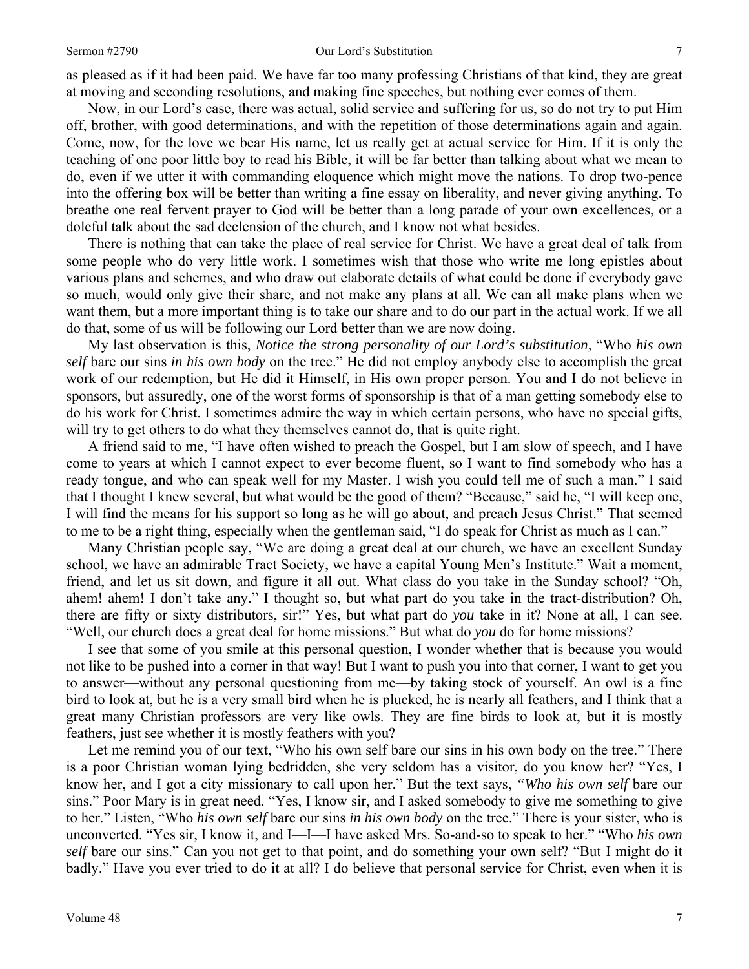as pleased as if it had been paid. We have far too many professing Christians of that kind, they are great at moving and seconding resolutions, and making fine speeches, but nothing ever comes of them.

Now, in our Lord's case, there was actual, solid service and suffering for us, so do not try to put Him off, brother, with good determinations, and with the repetition of those determinations again and again. Come, now, for the love we bear His name, let us really get at actual service for Him. If it is only the teaching of one poor little boy to read his Bible, it will be far better than talking about what we mean to do, even if we utter it with commanding eloquence which might move the nations. To drop two-pence into the offering box will be better than writing a fine essay on liberality, and never giving anything. To breathe one real fervent prayer to God will be better than a long parade of your own excellences, or a doleful talk about the sad declension of the church, and I know not what besides.

There is nothing that can take the place of real service for Christ. We have a great deal of talk from some people who do very little work. I sometimes wish that those who write me long epistles about various plans and schemes, and who draw out elaborate details of what could be done if everybody gave so much, would only give their share, and not make any plans at all. We can all make plans when we want them, but a more important thing is to take our share and to do our part in the actual work. If we all do that, some of us will be following our Lord better than we are now doing.

My last observation is this, *Notice the strong personality of our Lord's substitution,* "Who *his own self* bare our sins *in his own body* on the tree." He did not employ anybody else to accomplish the great work of our redemption, but He did it Himself, in His own proper person. You and I do not believe in sponsors, but assuredly, one of the worst forms of sponsorship is that of a man getting somebody else to do his work for Christ. I sometimes admire the way in which certain persons, who have no special gifts, will try to get others to do what they themselves cannot do, that is quite right.

A friend said to me, "I have often wished to preach the Gospel, but I am slow of speech, and I have come to years at which I cannot expect to ever become fluent, so I want to find somebody who has a ready tongue, and who can speak well for my Master. I wish you could tell me of such a man." I said that I thought I knew several, but what would be the good of them? "Because," said he, "I will keep one, I will find the means for his support so long as he will go about, and preach Jesus Christ." That seemed to me to be a right thing, especially when the gentleman said, "I do speak for Christ as much as I can."

Many Christian people say, "We are doing a great deal at our church, we have an excellent Sunday school, we have an admirable Tract Society, we have a capital Young Men's Institute." Wait a moment, friend, and let us sit down, and figure it all out. What class do you take in the Sunday school? "Oh, ahem! ahem! I don't take any." I thought so, but what part do you take in the tract-distribution? Oh, there are fifty or sixty distributors, sir!" Yes, but what part do *you* take in it? None at all, I can see. "Well, our church does a great deal for home missions." But what do *you* do for home missions?

I see that some of you smile at this personal question, I wonder whether that is because you would not like to be pushed into a corner in that way! But I want to push you into that corner, I want to get you to answer—without any personal questioning from me—by taking stock of yourself. An owl is a fine bird to look at, but he is a very small bird when he is plucked, he is nearly all feathers, and I think that a great many Christian professors are very like owls. They are fine birds to look at, but it is mostly feathers, just see whether it is mostly feathers with you?

Let me remind you of our text, "Who his own self bare our sins in his own body on the tree." There is a poor Christian woman lying bedridden, she very seldom has a visitor, do you know her? "Yes, I know her, and I got a city missionary to call upon her." But the text says, *"Who his own self* bare our sins." Poor Mary is in great need. "Yes, I know sir, and I asked somebody to give me something to give to her." Listen, "Who *his own self* bare our sins *in his own body* on the tree." There is your sister, who is unconverted. "Yes sir, I know it, and I—I—I have asked Mrs. So-and-so to speak to her." "Who *his own self* bare our sins." Can you not get to that point, and do something your own self? "But I might do it badly." Have you ever tried to do it at all? I do believe that personal service for Christ, even when it is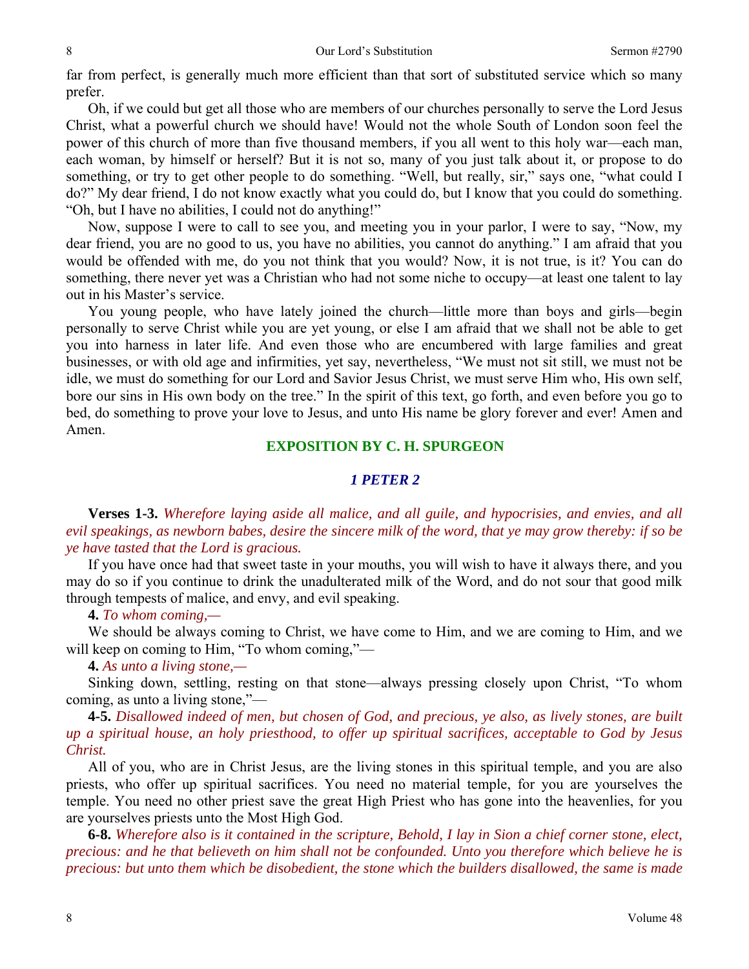far from perfect, is generally much more efficient than that sort of substituted service which so many prefer.

Oh, if we could but get all those who are members of our churches personally to serve the Lord Jesus Christ, what a powerful church we should have! Would not the whole South of London soon feel the power of this church of more than five thousand members, if you all went to this holy war—each man, each woman, by himself or herself? But it is not so, many of you just talk about it, or propose to do something, or try to get other people to do something. "Well, but really, sir," says one, "what could I do?" My dear friend, I do not know exactly what you could do, but I know that you could do something. "Oh, but I have no abilities, I could not do anything!"

Now, suppose I were to call to see you, and meeting you in your parlor, I were to say, "Now, my dear friend, you are no good to us, you have no abilities, you cannot do anything." I am afraid that you would be offended with me, do you not think that you would? Now, it is not true, is it? You can do something, there never yet was a Christian who had not some niche to occupy—at least one talent to lay out in his Master's service.

You young people, who have lately joined the church—little more than boys and girls—begin personally to serve Christ while you are yet young, or else I am afraid that we shall not be able to get you into harness in later life. And even those who are encumbered with large families and great businesses, or with old age and infirmities, yet say, nevertheless, "We must not sit still, we must not be idle, we must do something for our Lord and Savior Jesus Christ, we must serve Him who, His own self, bore our sins in His own body on the tree." In the spirit of this text, go forth, and even before you go to bed, do something to prove your love to Jesus, and unto His name be glory forever and ever! Amen and Amen.

# **EXPOSITION BY C. H. SPURGEON**

# *1 PETER 2*

**Verses 1-3.** *Wherefore laying aside all malice, and all guile, and hypocrisies, and envies, and all evil speakings, as newborn babes, desire the sincere milk of the word, that ye may grow thereby: if so be ye have tasted that the Lord is gracious.* 

If you have once had that sweet taste in your mouths, you will wish to have it always there, and you may do so if you continue to drink the unadulterated milk of the Word, and do not sour that good milk through tempests of malice, and envy, and evil speaking.

**4.** *To whom coming,—* 

We should be always coming to Christ, we have come to Him, and we are coming to Him, and we will keep on coming to Him, "To whom coming,"—

**4.** *As unto a living stone,—* 

Sinking down, settling, resting on that stone—always pressing closely upon Christ, "To whom coming, as unto a living stone,"—

**4-5.** *Disallowed indeed of men, but chosen of God, and precious, ye also, as lively stones, are built up a spiritual house, an holy priesthood, to offer up spiritual sacrifices, acceptable to God by Jesus Christ.* 

All of you, who are in Christ Jesus, are the living stones in this spiritual temple, and you are also priests, who offer up spiritual sacrifices. You need no material temple, for you are yourselves the temple. You need no other priest save the great High Priest who has gone into the heavenlies, for you are yourselves priests unto the Most High God.

**6-8.** *Wherefore also is it contained in the scripture, Behold, I lay in Sion a chief corner stone, elect, precious: and he that believeth on him shall not be confounded. Unto you therefore which believe he is precious: but unto them which be disobedient, the stone which the builders disallowed, the same is made*